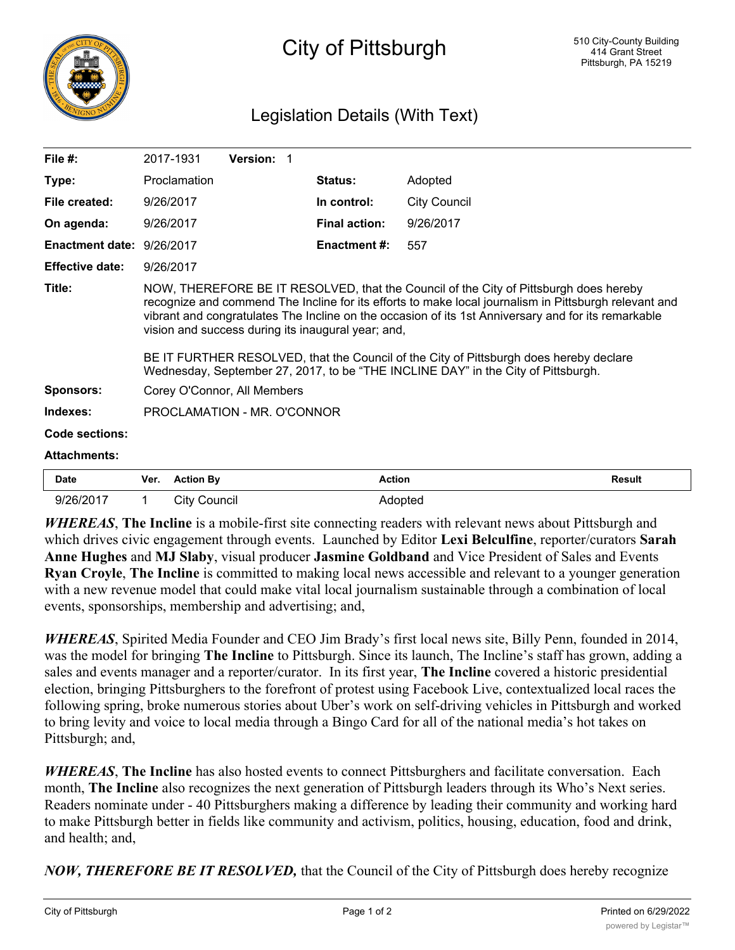

## Legislation Details (With Text)

| File $#$ :                |                                                                                                                                                                                                                                                                                                                                                                                                                                                                                                                                            | 2017-1931           | Version: 1 |  |                      |                     |               |
|---------------------------|--------------------------------------------------------------------------------------------------------------------------------------------------------------------------------------------------------------------------------------------------------------------------------------------------------------------------------------------------------------------------------------------------------------------------------------------------------------------------------------------------------------------------------------------|---------------------|------------|--|----------------------|---------------------|---------------|
| Type:                     |                                                                                                                                                                                                                                                                                                                                                                                                                                                                                                                                            | Proclamation        |            |  | Status:              | Adopted             |               |
| File created:             | 9/26/2017                                                                                                                                                                                                                                                                                                                                                                                                                                                                                                                                  |                     |            |  | In control:          | <b>City Council</b> |               |
| On agenda:                | 9/26/2017                                                                                                                                                                                                                                                                                                                                                                                                                                                                                                                                  |                     |            |  | <b>Final action:</b> | 9/26/2017           |               |
| Enactment date: 9/26/2017 |                                                                                                                                                                                                                                                                                                                                                                                                                                                                                                                                            |                     |            |  | <b>Enactment #:</b>  | 557                 |               |
| <b>Effective date:</b>    | 9/26/2017                                                                                                                                                                                                                                                                                                                                                                                                                                                                                                                                  |                     |            |  |                      |                     |               |
| Title:                    | NOW, THEREFORE BE IT RESOLVED, that the Council of the City of Pittsburgh does hereby<br>recognize and commend The Incline for its efforts to make local journalism in Pittsburgh relevant and<br>vibrant and congratulates The Incline on the occasion of its 1st Anniversary and for its remarkable<br>vision and success during its inaugural year; and,<br>BE IT FURTHER RESOLVED, that the Council of the City of Pittsburgh does hereby declare<br>Wednesday, September 27, 2017, to be "THE INCLINE DAY" in the City of Pittsburgh. |                     |            |  |                      |                     |               |
| <b>Sponsors:</b>          | Corey O'Connor, All Members                                                                                                                                                                                                                                                                                                                                                                                                                                                                                                                |                     |            |  |                      |                     |               |
| Indexes:                  | PROCLAMATION - MR. O'CONNOR                                                                                                                                                                                                                                                                                                                                                                                                                                                                                                                |                     |            |  |                      |                     |               |
| Code sections:            |                                                                                                                                                                                                                                                                                                                                                                                                                                                                                                                                            |                     |            |  |                      |                     |               |
| <b>Attachments:</b>       |                                                                                                                                                                                                                                                                                                                                                                                                                                                                                                                                            |                     |            |  |                      |                     |               |
| <b>Date</b>               | Ver.                                                                                                                                                                                                                                                                                                                                                                                                                                                                                                                                       | <b>Action By</b>    |            |  | <b>Action</b>        |                     | <b>Result</b> |
| 9/26/2017                 | 1                                                                                                                                                                                                                                                                                                                                                                                                                                                                                                                                          | <b>City Council</b> |            |  | Adopted              |                     |               |

*WHEREAS*, **The Incline** is a mobile-first site connecting readers with relevant news about Pittsburgh and which drives civic engagement through events. Launched by Editor **Lexi Belculfine**, reporter/curators **Sarah Anne Hughes** and **MJ Slaby**, visual producer **Jasmine Goldband** and Vice President of Sales and Events **Ryan Croyle**, **The Incline** is committed to making local news accessible and relevant to a younger generation with a new revenue model that could make vital local journalism sustainable through a combination of local events, sponsorships, membership and advertising; and,

*WHEREAS*, Spirited Media Founder and CEO Jim Brady's first local news site, Billy Penn, founded in 2014, was the model for bringing **The Incline** to Pittsburgh. Since its launch, The Incline's staff has grown, adding a sales and events manager and a reporter/curator. In its first year, **The Incline** covered a historic presidential election, bringing Pittsburghers to the forefront of protest using Facebook Live, contextualized local races the following spring, broke numerous stories about Uber's work on self-driving vehicles in Pittsburgh and worked to bring levity and voice to local media through a Bingo Card for all of the national media's hot takes on Pittsburgh; and,

*WHEREAS*, **The Incline** has also hosted events to connect Pittsburghers and facilitate conversation. Each month, **The Incline** also recognizes the next generation of Pittsburgh leaders through its Who's Next series. Readers nominate under - 40 Pittsburghers making a difference by leading their community and working hard to make Pittsburgh better in fields like community and activism, politics, housing, education, food and drink, and health; and,

*NOW, THEREFORE BE IT RESOLVED,* that the Council of the City of Pittsburgh does hereby recognize